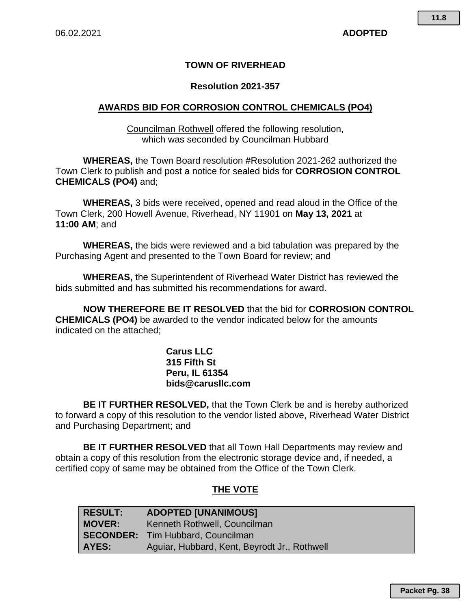### **TOWN OF RIVERHEAD**

### **Resolution 2021-357**

### **AWARDS BID FOR CORROSION CONTROL CHEMICALS (PO4)**

Councilman Rothwell offered the following resolution, which was seconded by Councilman Hubbard

**WHEREAS,** the Town Board resolution #Resolution 2021-262 authorized the Town Clerk to publish and post a notice for sealed bids for **CORROSION CONTROL CHEMICALS (PO4)** and;

**WHEREAS,** 3 bids were received, opened and read aloud in the Office of the Town Clerk, 200 Howell Avenue, Riverhead, NY 11901 on **May 13, 2021** at **11:00 AM**; and

**WHEREAS,** the bids were reviewed and a bid tabulation was prepared by the Purchasing Agent and presented to the Town Board for review; and

**WHEREAS,** the Superintendent of Riverhead Water District has reviewed the bids submitted and has submitted his recommendations for award.

**NOW THEREFORE BE IT RESOLVED** that the bid for **CORROSION CONTROL CHEMICALS (PO4)** be awarded to the vendor indicated below for the amounts indicated on the attached;

> **Carus LLC 315 Fifth St Peru, IL 61354 bids@carusllc.com**

**BE IT FURTHER RESOLVED,** that the Town Clerk be and is hereby authorized to forward a copy of this resolution to the vendor listed above, Riverhead Water District and Purchasing Department; and

**BE IT FURTHER RESOLVED** that all Town Hall Departments may review and obtain a copy of this resolution from the electronic storage device and, if needed, a certified copy of same may be obtained from the Office of the Town Clerk.

### **THE VOTE**

| <b>RESULT:</b> | <b>ADOPTED [UNANIMOUS]</b>                   |
|----------------|----------------------------------------------|
| <b>MOVER:</b>  | Kenneth Rothwell, Councilman                 |
|                | <b>SECONDER:</b> Tim Hubbard, Councilman     |
| AYES:          | Aguiar, Hubbard, Kent, Beyrodt Jr., Rothwell |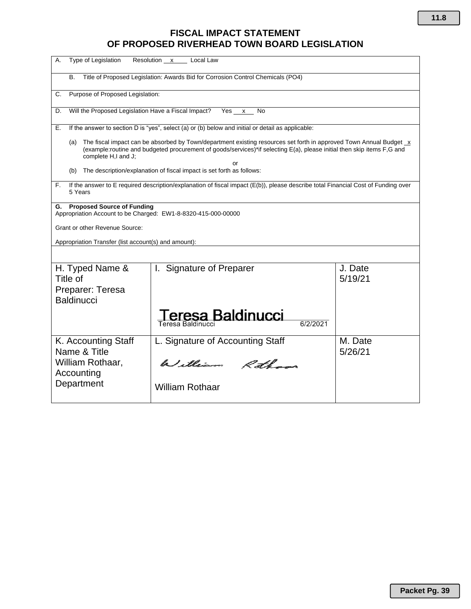## **FISCAL IMPACT STATEMENT OF PROPOSED RIVERHEAD TOWN BOARD LEGISLATION**

| Type of Legislation<br>Resolution x<br>А.<br>Local Law                                                                                                                                                                                                                     |                                                   |                    |  |
|----------------------------------------------------------------------------------------------------------------------------------------------------------------------------------------------------------------------------------------------------------------------------|---------------------------------------------------|--------------------|--|
| Title of Proposed Legislation: Awards Bid for Corrosion Control Chemicals (PO4)<br>В.                                                                                                                                                                                      |                                                   |                    |  |
| Purpose of Proposed Legislation:<br>C.                                                                                                                                                                                                                                     |                                                   |                    |  |
| Will the Proposed Legislation Have a Fiscal Impact?<br>Yes x<br>D.<br>No                                                                                                                                                                                                   |                                                   |                    |  |
| If the answer to section D is "yes", select (a) or (b) below and initial or detail as applicable:<br>Е.                                                                                                                                                                    |                                                   |                    |  |
| The fiscal impact can be absorbed by Town/department existing resources set forth in approved Town Annual Budget x<br>(a)<br>(example:routine and budgeted procurement of goods/services)*if selecting E(a), please initial then skip items F,G and<br>complete H,I and J; |                                                   |                    |  |
| or<br>The description/explanation of fiscal impact is set forth as follows:<br>(b)                                                                                                                                                                                         |                                                   |                    |  |
| If the answer to E required description/explanation of fiscal impact (E(b)), please describe total Financial Cost of Funding over<br>F.<br>5 Years                                                                                                                         |                                                   |                    |  |
| <b>Proposed Source of Funding</b><br>G.<br>Appropriation Account to be Charged: EW1-8-8320-415-000-00000                                                                                                                                                                   |                                                   |                    |  |
| <b>Grant or other Revenue Source:</b>                                                                                                                                                                                                                                      |                                                   |                    |  |
| Appropriation Transfer (list account(s) and amount):                                                                                                                                                                                                                       |                                                   |                    |  |
|                                                                                                                                                                                                                                                                            |                                                   |                    |  |
| H. Typed Name &<br>Title of                                                                                                                                                                                                                                                | I. Signature of Preparer                          | J. Date<br>5/19/21 |  |
| Preparer: Teresa<br><b>Baldinucci</b>                                                                                                                                                                                                                                      |                                                   |                    |  |
|                                                                                                                                                                                                                                                                            | eresa Baldinucci<br>6/2/2021<br>Teresa Baldinucci |                    |  |
| K. Accounting Staff<br>Name & Title                                                                                                                                                                                                                                        | L. Signature of Accounting Staff                  | M. Date<br>5/26/21 |  |
| William Rothaar,<br>Accounting                                                                                                                                                                                                                                             | William Rothans                                   |                    |  |
| Department                                                                                                                                                                                                                                                                 | <b>William Rothaar</b>                            |                    |  |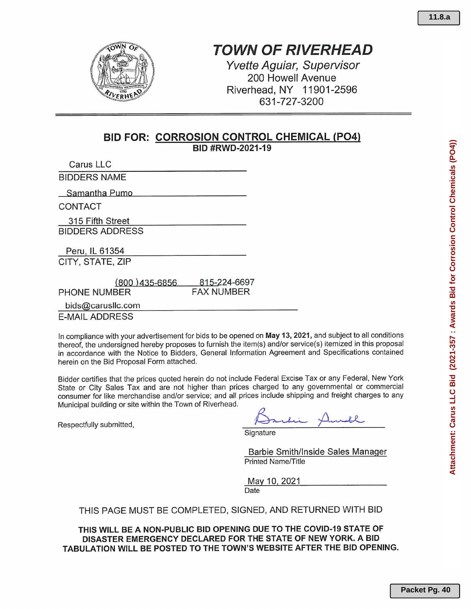# **TOWN OF RIVERHEAD**

**Yvette Aguiar, Supervisor** 200 Howell Avenue Riverhead, NY 11901-2596 631-727-3200

## **BID FOR: CORROSION CONTROL CHEMICAL (PO4)**

BID #RWD-2021-19

Carus LLC

**BIDDERS NAME** 

Samantha Pumo

CONTACT

315 Fifth Street **BIDDERS ADDRESS** 

Peru, IL 61354

CITY, STATE, ZIP

| $(800)$ 435-6856 | 815-224-6697 |
|------------------|--------------|
| PHONE NUMBER     | FAX NUMBER   |

bids@carusllc.com

**E-MAIL ADDRESS** 

In compliance with your advertisement for bids to be opened on May 13, 2021, and subject to all conditions thereof, the undersigned hereby proposes to furnish the item(s) and/or service(s) itemized in this proposal in accordance with the Notice to Bidders, General Information Agreement and Specifications contained herein on the Bid Proposal Form attached.

Bidder certifies that the prices quoted herein do not include Federal Excise Tax or any Federal, New York State or City Sales Tax and are not higher than prices charged to any governmental or commercial consumer for like merchandise and/or service; and all prices include shipping and freight charges to any Municipal building or site within the Town of Riverhead.

Respectfully submitted,

Signature

Barbie Smith/Inside Sales Manager **Printed Name/Title** 

May 10, 2021 Date

### THIS PAGE MUST BE COMPLETED, SIGNED, AND RETURNED WITH BID

THIS WILL BE A NON-PUBLIC BID OPENING DUE TO THE COVID-19 STATE OF DISASTER EMERGENCY DECLARED FOR THE STATE OF NEW YORK. A BID TABULATION WILL BE POSTED TO THE TOWN'S WEBSITE AFTER THE BID OPENING.